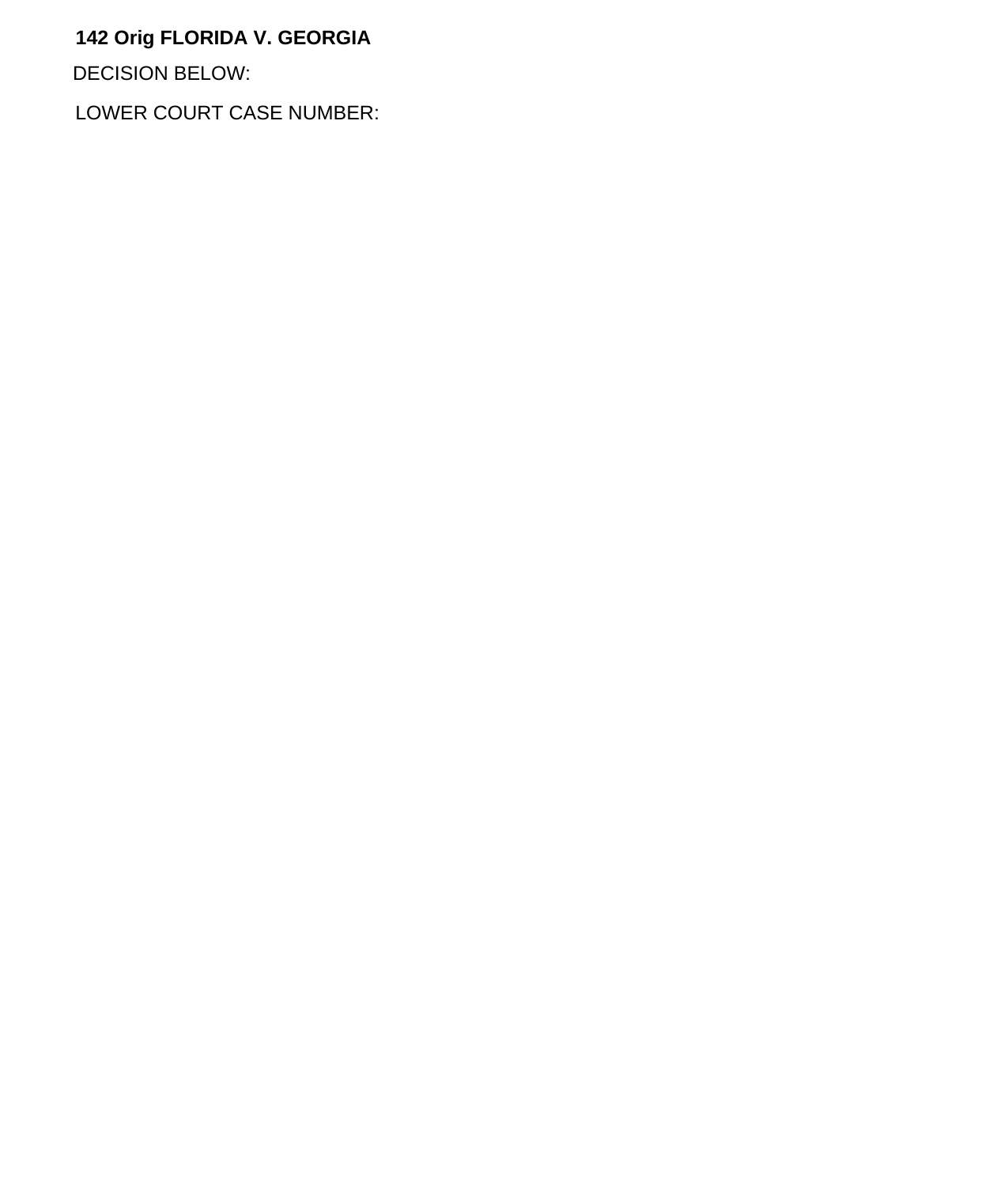## **142 Orig FLORIDA V. GEORGIA**

DECISION BELOW:

LOWER COURT CASE NUMBER: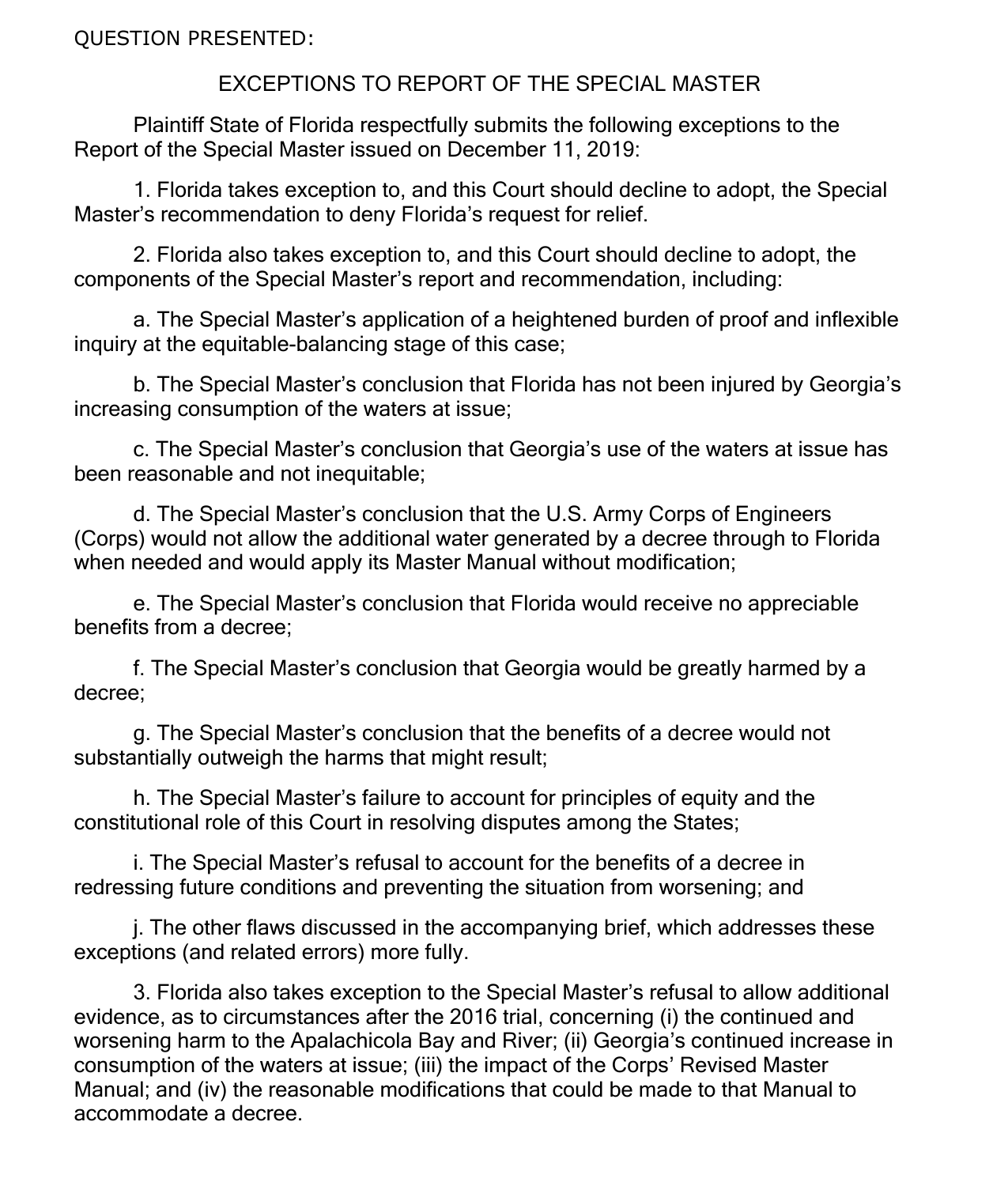QUESTION PRESENTED:

## EXCEPTIONS TO REPORT OF THE SPECIAL MASTER

Plaintiff State of Florida respectfully submits the following exceptions to the Report of the Special Master issued on December 11, 2019:

1. Florida takes exception to, and this Court should decline to adopt, the Special Master's recommendation to deny Florida's request for relief.

2. Florida also takes exception to, and this Court should decline to adopt, the components of the Special Master's report and recommendation, including:

a. The Special Master's application of a heightened burden of proof and inflexible inquiry at the equitable-balancing stage of this case;

b. The Special Master's conclusion that Florida has not been injured by Georgia's increasing consumption of the waters at issue;

c. The Special Master's conclusion that Georgia's use of the waters at issue has been reasonable and not inequitable;

d. The Special Master's conclusion that the U.S. Army Corps of Engineers (Corps) would not allow the additional water generated by a decree through to Florida when needed and would apply its Master Manual without modification;

e. The Special Master's conclusion that Florida would receive no appreciable benefits from a decree;

f. The Special Master's conclusion that Georgia would be greatly harmed by a decree;

g. The Special Master's conclusion that the benefits of a decree would not substantially outweigh the harms that might result;

h. The Special Master's failure to account for principles of equity and the constitutional role of this Court in resolving disputes among the States;

i. The Special Master's refusal to account for the benefits of a decree in redressing future conditions and preventing the situation from worsening; and

j. The other flaws discussed in the accompanying brief, which addresses these exceptions (and related errors) more fully.

3. Florida also takes exception to the Special Master's refusal to allow additional evidence, as to circumstances after the 2016 trial, concerning (i) the continued and worsening harm to the Apalachicola Bay and River; (ii) Georgia's continued increase in consumption of the waters at issue; (iii) the impact of the Corps' Revised Master Manual; and (iv) the reasonable modifications that could be made to that Manual to accommodate a decree.